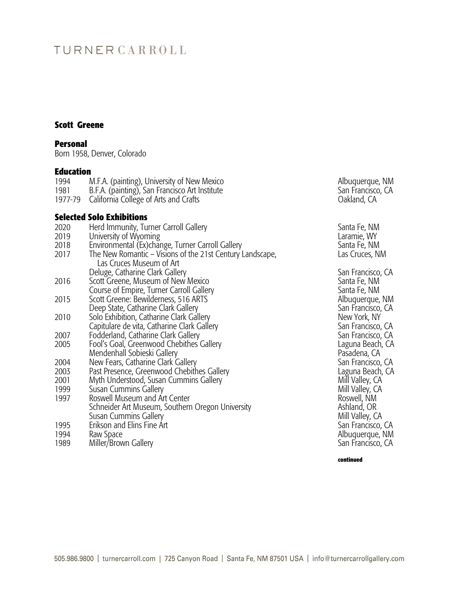# TURNERCARROLL

#### **Scott Greene**

#### **Personal**

Born 1958, Denver, Colorado

#### **Education**

| 1994    | M.F.A. (painting), University of New Mexico    |
|---------|------------------------------------------------|
| 1981    | B.F.A. (painting), San Francisco Art Institute |
| 1977-79 | California College of Arts and Crafts          |

#### **Selected Solo Exhibitions**

|              | JEIELLEU JUIV LAIIIVIUUIIJ                                                            |                             |
|--------------|---------------------------------------------------------------------------------------|-----------------------------|
| 2020<br>2019 | Herd Immunity, Turner Carroll Gallery<br>University of Wyoming                        | Santa Fe, NM<br>Laramie, WY |
| 2018         | Environmental (Ex)change, Turner Carroll Gallery                                      | Santa Fe, NM                |
| 2017         | The New Romantic – Visions of the 21st Century Landscape,<br>Las Cruces Museum of Art | Las Cruces, NM              |
|              | Deluge, Catharine Clark Gallery                                                       | San Francisco, CA           |
| 2016         | Scott Greene, Museum of New Mexico                                                    | Santa Fe, NM                |
|              | Course of Empire, Turner Carroll Gallery                                              | Santa Fe, NM                |
| 2015         | Scott Greene: Bewilderness, 516 ARTS                                                  | Albuquerque, NM             |
|              | Deep State, Catharine Clark Gallery                                                   | San Francisco, CA           |
| 2010         | Solo Exhibition, Catharine Clark Gallery                                              | New York, NY                |
|              | Capitulare de vita, Catharine Clark Gallery                                           | San Francisco, CA           |
| 2007         | Fodderland, Catharine Clark Gallery                                                   | San Francisco, CA           |
| 2005         | Fool's Goal, Greenwood Chebithes Gallery                                              | Laguna Beach, CA            |
|              | Mendenhall Sobieski Gallery                                                           | Pasadena, CA                |
| 2004         | New Fears, Catharine Clark Gallery                                                    | San Francisco, CA           |
| 2003         | Past Presence, Greenwood Chebithes Gallery                                            | Laguna Beach, CA            |
| 2001         | Myth Understood, Susan Cummins Gallery                                                | Mill Valley, CA             |
| 1999         | Susan Cummins Gallery                                                                 | Mill Valley, CA             |
| 1997         | Roswell Museum and Art Center                                                         | Roswell, NM                 |
|              | Schneider Art Museum, Southern Oregon University                                      | Ashland, OR                 |
|              | Susan Cummins Gallery                                                                 | Mill Valley, CA             |
| 1995         | Erikson and Elins Fine Art                                                            | San Francisco, CA           |
| 1994         | Raw Space                                                                             | Albuquerque, NM             |
| 1989         | Miller/Brown Gallery                                                                  | San Francisco, CA           |
|              |                                                                                       |                             |

Albuquerque, NM San Francisco, CA Oakland, CA

**continued**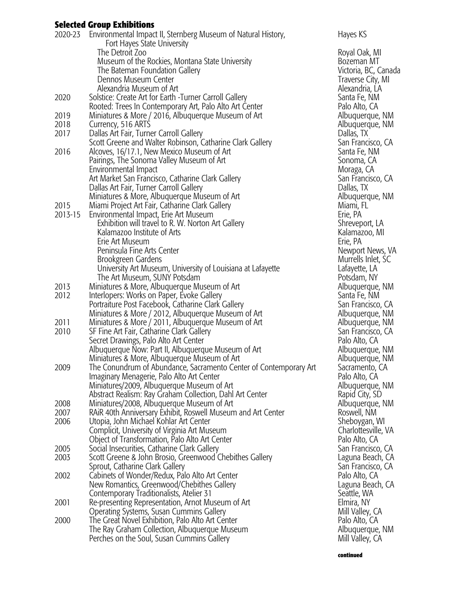### **Selected Group Exhibitions**

| 2020-23 | Environmental Impact II, Sternberg Museum of Natural History,<br>Fort Hayes State University | Hayes KS    |
|---------|----------------------------------------------------------------------------------------------|-------------|
|         | The Detroit Zoo                                                                              | Royal Oak   |
|         | Museum of the Rockies, Montana State University                                              | Bozeman     |
|         | The Bateman Foundation Gallery                                                               | Victoria, B |
|         | Dennos Museum Center                                                                         | Traverse C  |
|         | Alexandria Museum of Art                                                                     | Alexandria  |
| 2020    | Solstice: Create Art for Earth - Turner Carroll Gallery                                      | Santa Fe, I |
|         | Rooted: Trees In Contemporary Art, Palo Alto Art Center                                      | Palo Alto,  |
| 2019    | Miniatures & More / 2016, Albuquerque Museum of Art                                          | Albuquerq   |
| 2018    | Currency, 516 ARTS                                                                           | Albuquerq   |
| 2017    | Dallas Art Fair, Turner Carroll Gallery                                                      | Dallas, TX  |
|         |                                                                                              | San Franci  |
|         | Scott Greene and Walter Robinson, Catharine Clark Gallery                                    |             |
| 2016    | Alcoves, 16/17.1, New Mexico Museum of Art                                                   | Santa Fe, I |
|         | Pairings, The Sonoma Valley Museum of Art                                                    | Sonoma, Q   |
|         | Environmental Impact                                                                         | Moraga, C   |
|         | Art Market San Francisco, Catharine Clark Gallery                                            | San Franci  |
|         | Dallas Art Fair, Turner Carroll Gallery                                                      | Dallas, TX  |
|         | Miniatures & More, Albuquerque Museum of Art                                                 | Albuquerq   |
| 2015    | Miami Project Art Fair, Catharine Clark Gallery                                              | Miami, FL   |
| 2013-15 | Environmental Impact, Erie Art Museum                                                        | Erie, PA    |
|         | Exhibition will travel to R. W. Norton Art Gallery                                           | Shrevepor   |
|         | Kalamazoo Institute of Arts                                                                  | Kalamazoo   |
|         | Erie Art Museum                                                                              | Erie, PA    |
|         | Peninsula Fine Arts Center                                                                   | Newport N   |
|         | Brookgreen Gardens                                                                           | Murrells Ir |
|         | University Art Museum, University of Louisiana at Lafayette                                  | Lafayette,  |
|         | The Art Museum, SUNY Potsdam                                                                 | Potsdam, I  |
| 2013    | Miniatures & More, Albuquerque Museum of Art                                                 | Albuquerq   |
| 2012    | Interlopers: Works on Paper, Evoke Gallery                                                   | Santa Fe, I |
|         | Portraiture Post Facebook, Catharine Clark Gallery                                           | San Franci  |
|         | Miniatures & More / 2012, Albuquerque Museum of Art                                          | Albuquerq   |
| 2011    | Miniatures & More / 2011, Albuquerque Museum of Art                                          | Albuquerq   |
| 2010    | SF Fine Art Fair, Catharine Clark Gallery                                                    | San Franci  |
|         | Secret Drawings, Palo Alto Art Center                                                        | Palo Alto,  |
|         | Albuquerque Now: Part II, Albuquerque Museum of Art                                          | Albuquerq   |
|         | Miniatures & More, Albuquerque Museum of Art                                                 | Albuquerq   |
| 2009    | The Conundrum of Abundance, Sacramento Center of Contemporary Art                            | Sacrament   |
|         | Imaginary Menagerie, Palo Alto Art Center                                                    | Palo Alto,  |
|         | Miniatures/2009, Albuquerque Museum of Art                                                   | Albuquerg   |
|         | Abstract Realism: Ray Graham Collection, Dahl Art Center                                     | Rapid City  |
| 2008    | Miniatures/2008, Albuquerque Museum of Art                                                   | Albuquerq   |
| 2007    | RAIR 40th Anniversary Exhibit, Roswell Museum and Art Center                                 | Roswell, N  |
| 2006    | Utopia, John Michael Kohlar Art Center                                                       | Sheboygar   |
|         | Complicit, University of Virginia Art Museum                                                 | Charlottes  |
|         | Object of Transformation, Palo Alto Art Center                                               | Palo Alto,  |
| 2005    |                                                                                              | San Franci  |
|         | Social Insecurities, Catharine Clark Gallery                                                 |             |
| 2003    | Scott Greene & John Brosio, Greenwood Chebithes Gallery                                      | Laguna Be   |
|         | Sprout, Catharine Clark Gallery                                                              | San Franci  |
| 2002    | Cabinets of Wonder/Redux, Palo Alto Art Center                                               | Palo Alto,  |
|         | New Romantics, Greenwood/Chebithes Gallery                                                   | Laguna Be   |
|         | Contemporary Traditionalists, Atelier 31                                                     | Seattle, W  |
| 2001    | Re-presenting Representation, Arnot Museum of Art                                            | Elmira, NY  |
|         | Operating Systems, Susan Cummins Gallery                                                     | Mill Valley |
| 2000    | The Great Novel Exhibition, Palo Alto Art Center                                             | Palo Alto,  |
|         | The Ray Graham Collection, Albuquerque Museum                                                | Albuquerg   |
|         | Perches on the Soul, Susan Cummins Gallery                                                   | Mill Valley |

Royal Oak, MI Bozeman MT Victoria, BC, Canada Traverse City, MI Alexandria, LA Santa Fe, NM Palo Alto, CA Albuquerque, NM Albuquerque, NM<br>Dallas, TX San Francisco, CA Santa Fe, NM Sonoma, CA Moraga, CA San Francisco, CA<br>Dallas, TX Albuquerque, NM<br>Miami, FL Shreveport, LA Kalamazoo, MI<br>Erie, PA Newport News, VA Murrells Inlet, SC Lafayette, LA Potsdam, NY Albuquerque, NM Santa Fe, NM San Francisco, CA Albuquerque, NM Albuquerque, NM San Francisco, CA Palo Alto, CA Albuquerque, NM Albuquerque, NM<br>Art Art Sacramento, CA Sacramento, CA Palo Alto, CA Albuquerque, NM Rapid City, SD Albuquerque, NM Roswell, NM Sheboygan, WI Charlottesville, VA Palo Alto, CA San Francisco, CA Laguna Beach, CA San Francisco, CA Palo Alto, CA Laguna Beach, CA Seattle, WA<br>Elmira, NY Mill Valley, CA Palo Alto, CA Albuquerque, NM<br>Mill Valley, CA

**continued**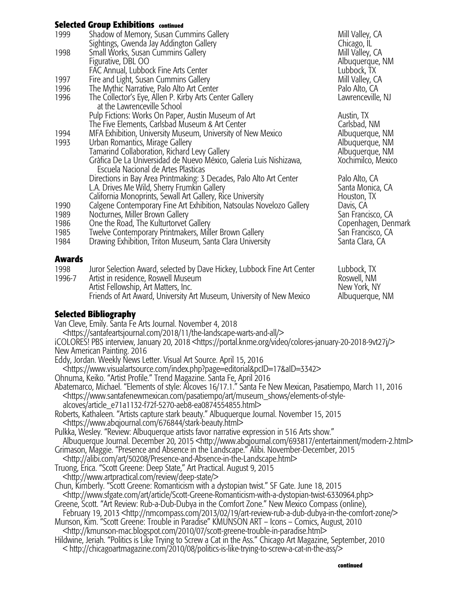## **Selected Group Exhibitions continued**

| 1999 | Shadow of Memory, Susan Cummins Gallery                              | Mill Valley, CA     |
|------|----------------------------------------------------------------------|---------------------|
|      | Sightings, Gwenda Jay Addington Gallery                              | Chicago, IL         |
| 1998 | Small Works, Susan Cummins Gallery                                   | Mill Valley, CA     |
|      | Figurative, DBL OO                                                   | Albuquerque, NM     |
|      | FAC Annual, Lubbock Fine Arts Center                                 | Lubbock, TX         |
| 1997 | Fire and Light, Susan Cummins Gallery                                | Mill Valley, CA     |
| 1996 | The Mythic Narrative, Palo Alto Art Center                           | Palo Alto, CA       |
| 1996 | The Collector's Eye, Allen P. Kirby Arts Center Gallery              | Lawrenceville, NJ   |
|      | at the Lawrenceville School                                          |                     |
|      | Pulp Fictions: Works On Paper, Austin Museum of Art                  | Austin, TX          |
|      | The Five Elements, Carlsbad Museum & Art Center                      | Carlsbad, NM        |
| 1994 | MFA Exhibition, University Museum, University of New Mexico          | Albuquerque, NM     |
| 1993 | Urban Romantics, Mirage Gallery                                      | Albuquerque, NM     |
|      | Tamarind Collaboration, Richard Levy Gallery                         | Albuquerque, NM     |
|      | Gràfica De La Universidad de Nuevo México, Galeria Luis Nishizawa,   | Xochimilco, Mexico  |
|      | Escuela Nacional de Artes Plasticas                                  |                     |
|      | Directions in Bay Area Printmaking: 3 Decades, Palo Alto Art Center  | Palo Alto, CA       |
|      | L.A. Drives Me Wild, Sherry Frumkin Gallery                          | Santa Monica, CA    |
|      | California Monoprints, Sewall Art Gallery, Rice University           | Houston, TX         |
| 1990 | Calgene Contemporary Fine Art Exhibition, Natsoulas Novelozo Gallery | Davis, CA           |
| 1989 | Nocturnes, Miller Brown Gallery                                      | San Francisco, CA   |
| 1986 | One the Road, The Kulturtorvet Gallery                               | Copenhagen, Denmark |
| 1985 | Twelve Contemporary Printmakers, Miller Brown Gallery                | San Francisco, CA   |
| 1984 | Drawing Exhibition, Triton Museum, Santa Clara University            | Santa Clara, CA     |
|      |                                                                      |                     |
|      |                                                                      |                     |

#### **Awards**

| 1998   | Juror Selection Award, selected by Dave Hickey, Lubbock Fine Art Center     | Lubbock, TX                 |
|--------|-----------------------------------------------------------------------------|-----------------------------|
| 1996-7 | Artist in residence, Roswell Museum<br>Artist Fellowship, Art Matters, Inc. | Roswell, NM<br>New York, NY |
|        | Friends of Art Award, University Art Museum, University of New Mexico       | Albuguergue, NM             |

## **Selected Bibliography**

Van Cleve, Emily. Santa Fe Arts Journal. November 4, 2018

 <https://santafeartsjournal.com/2018/11/the-landscape-warts-and-all/> ¡COLORES! PBS interview, January 20, 2018 <https://portal.knme.org/video/colores-january-20-2018-9vt27j/> New American Painting. 2016

Eddy, Jordan. Weekly News Letter. Visual Art Source. April 15, 2016

<https://www.visualartsource.com/index.php?page=editorial&pcID=17&aID=3342>

Ohnuma, Keiko. "Artist Profile." Trend Magazine. Santa Fe, April 2016

Abatemarco, Michael. "Elements of style: Alcoves 16/17.1." Santa Fe New Mexican, Pasatiempo, March 11, 2016 <https://www.santafenewmexican.com/pasatiempo/art/museum\_shows/elements-of-style alcoves/article\_e71a1132-f72f-5270-aeb8-ea0874554855.html>

Roberts, Kathaleen. "Artists capture stark beauty." Albuquerque Journal. November 15, 2015 <https://www.abqjournal.com/676844/stark-beauty.html>

Pulkka, Wesley. "Review: Albuquerque artists favor narrative expression in 516 Arts show." Albuquerque Journal. December 20, 2015 <http://www.abqjournal.com/693817/entertainment/modern-2.html>

Grimason, Maggie. "Presence and Absence in the Landscape." Alibi. November-December, 2015

 <http://alibi.com/art/50208/Presence-and-Absence-in-the-Landscape.html> Truong, Erica. "Scott Greene: Deep State," Art Practical. August 9, 2015

<http://www.artpractical.com/review/deep-state/>

Chun, Kimberly. "Scott Greene: Romanticism with a dystopian twist." SF Gate. June 18, 2015

<http://www.sfgate.com/art/article/Scott-Greene-Romanticism-with-a-dystopian-twist-6330964.php>

Greene, Scott. "Art Review: Rub-a-Dub-Dubya in the Comfort Zone." New Mexico Compass (online),

 February 19, 2013 <http://nmcompass.com/2013/02/19/art-review-rub-a-dub-dubya-in-the-comfort-zone/> Munson, Kim. "Scott Greene: Trouble in Paradise" KMUNSON ART – Icons – Comics, August, 2010

<http://kmunson-mac.blogspot.com/2010/07/scott-greene-trouble-in-paradise.html>

Hildwine, Jeriah. "Politics is Like Trying to Screw a Cat in the Ass." Chicago Art Magazine, September, 2010 < http://chicagoartmagazine.com/2010/08/politics-is-like-trying-to-screw-a-cat-in-the-ass/>